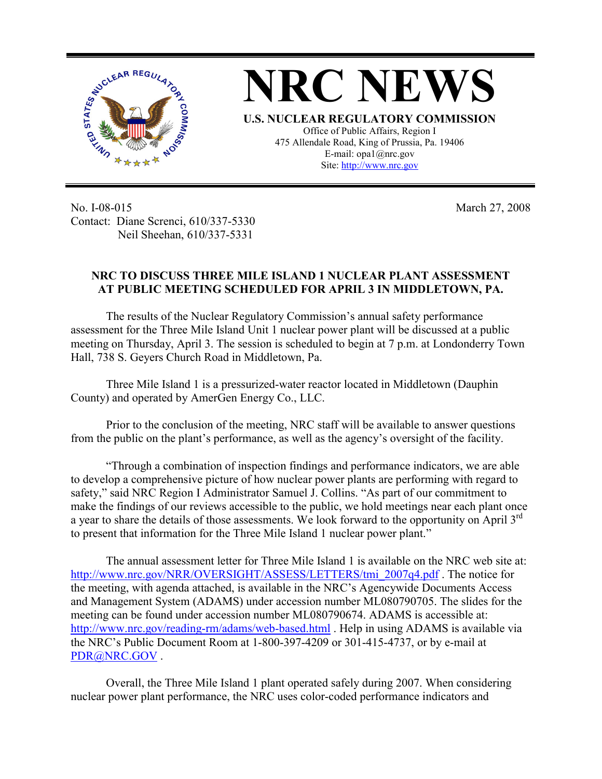

No. I-08-015 Contact: Diane Screnci, 610/337-5330 Neil Sheehan, 610/337-5331

March 27, 2008

## **NRC TO DISCUSS THREE MILE ISLAND 1 NUCLEAR PLANT ASSESSMENT AT PUBLIC MEETING SCHEDULED FOR APRIL 3 IN MIDDLETOWN, PA.**

The results of the Nuclear Regulatory Commission's annual safety performance assessment for the Three Mile Island Unit 1 nuclear power plant will be discussed at a public meeting on Thursday, April 3. The session is scheduled to begin at 7 p.m. at Londonderry Town Hall, 738 S. Geyers Church Road in Middletown, Pa.

Three Mile Island 1 is a pressurized-water reactor located in Middletown (Dauphin County) and operated by AmerGen Energy Co., LLC.

Prior to the conclusion of the meeting, NRC staff will be available to answer questions from the public on the plant's performance, as well as the agency's oversight of the facility.

"Through a combination of inspection findings and performance indicators, we are able to develop a comprehensive picture of how nuclear power plants are performing with regard to safety," said NRC Region I Administrator Samuel J. Collins. "As part of our commitment to make the findings of our reviews accessible to the public, we hold meetings near each plant once a year to share the details of those assessments. We look forward to the opportunity on April 3<sup>rd</sup> to present that information for the Three Mile Island 1 nuclear power plant."

The annual assessment letter for Three Mile Island 1 is available on the NRC web site at: http://www.nrc.gov/NRR/OVERSIGHT/ASSESS/LETTERS/tmi\_2007q4.pdf. The notice for the meeting, with agenda attached, is available in the NRC's Agencywide Documents Access and Management System (ADAMS) under accession number ML080790705. The slides for the meeting can be found under accession number ML080790674. ADAMS is accessible at: http://www.nrc.gov/reading-rm/adams/web-based.html . Help in using ADAMS is available via the NRC's Public Document Room at 1-800-397-4209 or 301-415-4737, or by e-mail at PDR@NRC.GOV .

Overall, the Three Mile Island 1 plant operated safely during 2007. When considering nuclear power plant performance, the NRC uses color-coded performance indicators and